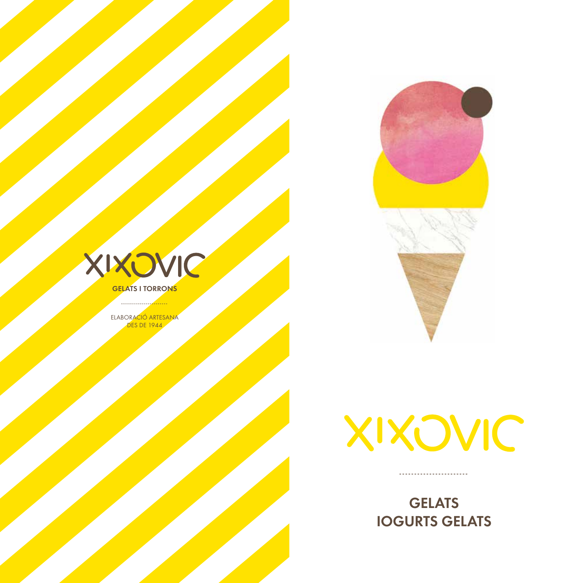



**GELATS I TORRONS** . . . . . . . . . . . . <u>. <mark>. .</mark> . . . .</u>

ELABORACIÓ ARTESANA **DES DE 1944** 



------------------------

**GELATS IOGURTS GELATS**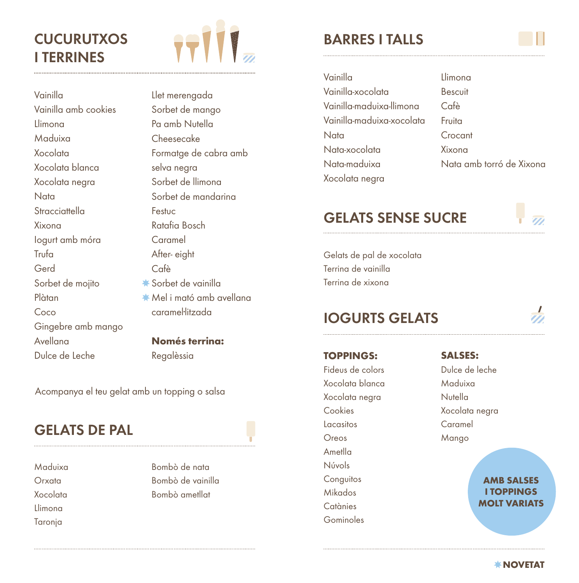# **CUCURUTXOS I TERRINES**



Vainilla Vainilla amb cookies Llimona Maduixa Xocolata Xocolata blanca Xocolata negra **Nata Stracciattella** Xixona Iogurt amb móra **Trufa** Gerd Sorbet de mojito Plàtan Coco Gingebre amb mango Avellana Dulce de Leche

Llet merengada Sorbet de mango Pa amb Nutella Cheesecake Formatge de cabra amb selva negra Sorbet de llimona Sorbet de mandarina Festuc Ratafia Bosch Caramel After- eight Cafè Sorbet de vainilla Mel i mató amb avellana caramel·litzada

**Només terrina:** Regalèssia

Acompanya el teu gelat amb un topping o salsa

## **GELATS DE PAL**

Maduixa Orxata Xocolata Llimona Taronja

Bombò de nata Bombò de vainilla Bombò ametllat

## **BARRES I TALLS**

| Vainilla                  | Llimona                  |
|---------------------------|--------------------------|
| Vainilla-xocolata         | <b>Bescuit</b>           |
| Vainilla-maduixa-llimona  | Cafè                     |
| Vainilla-maduixa-xocolata | Fruita                   |
| Nata                      | Crocant                  |
| Nata-xocolata             | Xixona                   |
| Nata-maduixa              | Nata amb torró de Xixona |
| Xocolata negra            |                          |

## **GELATS SENSE SUCRE**

Gelats de pal de xocolata Terrina de vainilla Terrina de xixona

#### **IOGURTS GELATS**

#### **TOPPINGS:**

Fideus de colors Xocolata blanca Xocolata negra Cookies Lacasitos Oreos Ametlla Núvols **Conguitos** Mikados **Catànies** Gominoles

**SALSES:**

Dulce de leche Maduixa Nutella Xocolata negra Caramel Mango

> **AMB SALSES I TOPPINGS MOLT VARIATS**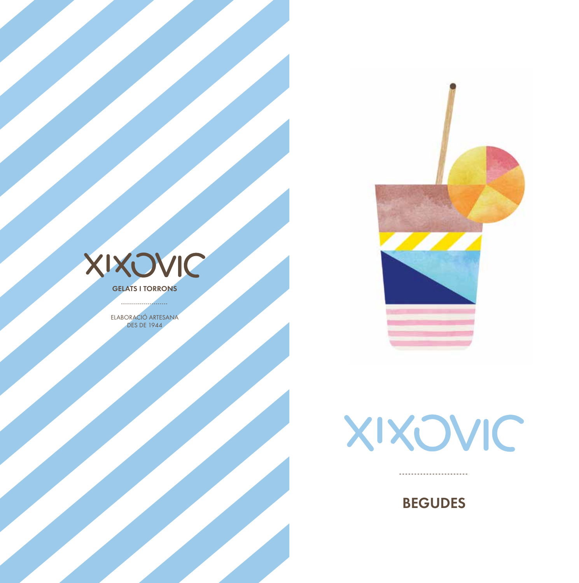



**GELATS I TORRONS** 

ELABORACIÓ ARTESANA **DES DE 1944** 



**BEGUDES** 

-----------------------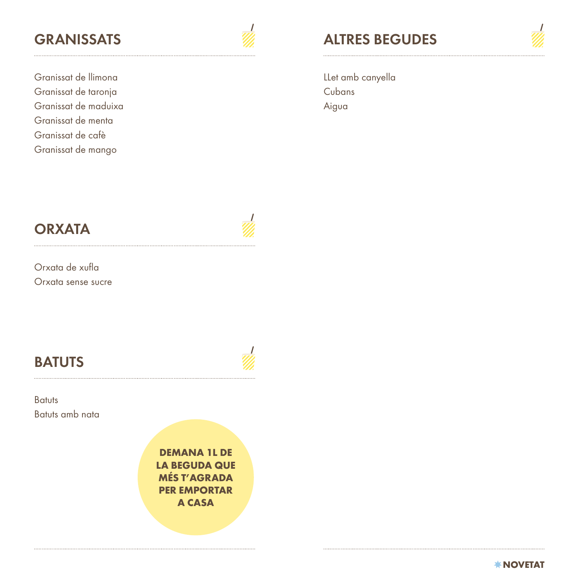Granissat de llimona Granissat de taronja Granissat de maduixa Granissat de menta Granissat de cafè Granissat de mango

**GRANISSATS ALTRES BEGUDES**

LLet amb canyella **Cubans** Aigua

Orxata de xufla Orxata sense sucre

## **BATUTS**

**Batuts** Batuts amb nata

> **DEMANA 1L DE LA BEGUDA QUE MÉS T'AGRADA PER EMPORTAR A CASA**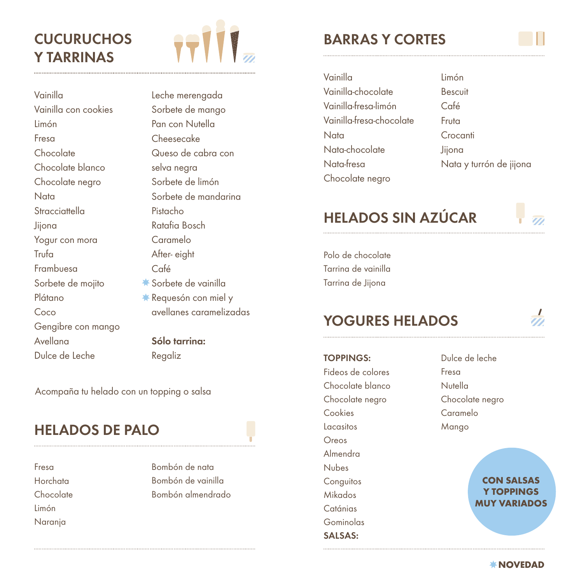# **CUCURUCHOS Y TARRINAS**



Vainilla Vainilla con cookies Limón Fresa Chocolate Chocolate blanco Chocolate negro **Nata Stracciattella** Jijona Yogur con mora Trufa Frambuesa Sorbete de mojito Plátano Coco Gengibre con mango Avellana Dulce de Leche

Leche merengada Sorbete de mango Pan con Nutella Cheesecake Queso de cabra con selva negra Sorbete de limón Sorbete de mandarina Pistacho Ratafia Bosch Caramelo After- eight Café \* Sorbete de vainilla **\*** Requesón con miel y avellanes caramelizadas **Sólo tarrina:**

Regaliz

Acompaña tu helado con un topping o salsa

## **HELADOS DE PALO**

Fresa Horchata Chocolate Limón Naranja

Bombón de nata Bombón de vainilla Bombón almendrado

## **BARRAS Y CORTES**

Vainilla Vainilla-chocolate Vainilla-fresa-limón Vainilla-fresa-chocolate Nata Nata-chocolate Nata-fresa Chocolate negro Limón Bescuit Café Fruta **Crocanti** Jijona Nata y turrón de jijona

# **HELADOS SIN AZÚCAR**



Polo de chocolate Tarrina de vainilla Tarrina de Jijona

#### **YOGURES HELADOS**

**TOPPINGS:**

Fideos de colores Chocolate blanco Chocolate negro **Cookies** Lacasitos Oreos Almendra Nubes **Conguitos** Mikados **Catánias** Gominolas **SALSAS:**

Dulce de leche Fresa Nutella Chocolate negro Caramelo Mango

> **CON SALSAS Y TOPPINGS MUY VARIADOS**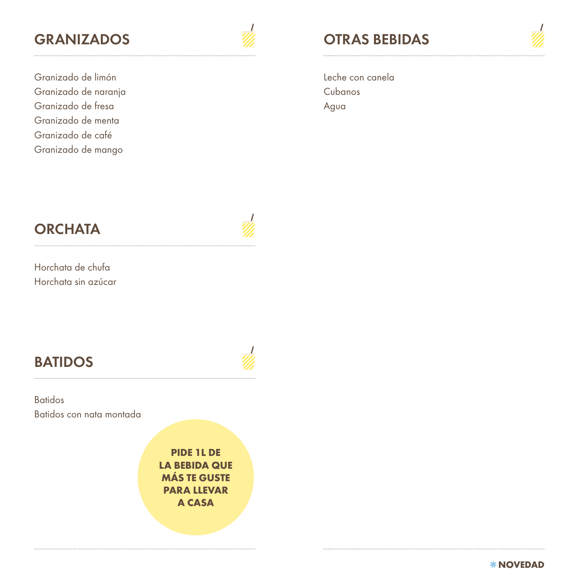Granizado de limón Granizado de naranja Granizado de fresa Granizado de menta Granizado de café Granizado de mango

# **GRANIZADOS OTRAS BEBIDAS**

Leche con canela **Cubanos** Agua

Horchata de chufa Horchata sin azúcar

# **BATIDOS**

Batidos Batidos con nata montada

> **PIDE 1L DE LA BEBIDA QUE MÁS TE GUSTE PARA LLEVAR A CASA**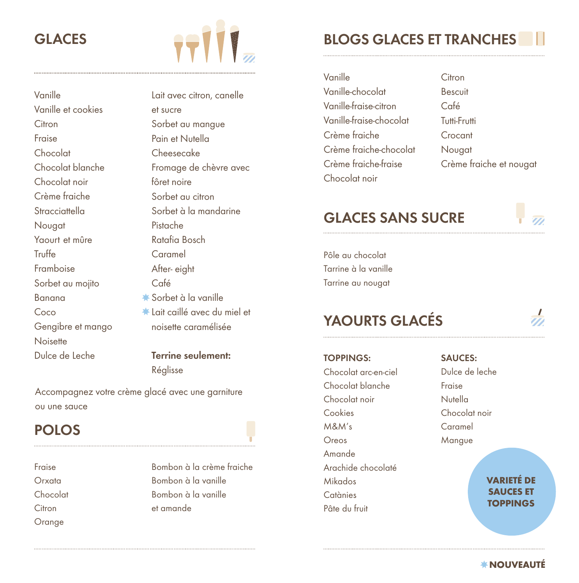## **GLACES**



Vanille Vanille et cookies **Citron** Fraise Chocolat Chocolat blanche Chocolat noir Crème fraiche **Stracciattella** Nougat Yaourt et mûre Truffe Framboise Sorbet au mojito Banana Coco Gengibre et mango **Noisette** Dulce de Leche

Lait avec citron, canelle et sucre Sorbet au mangue Pain et Nutella Cheesecake Fromage de chèvre avec fôret noire Sorbet au citron Sorbet à la mandarine Pistache Ratafia Bosch Caramel After- eight Café Sorbet à la vanille Lait caillé avec du miel et noisette caramélisée **Terrine seulement:**

Réglisse Accompagnez votre crème glacé avec une garniture

#### ou une sauce

#### **POLOS**

Fraise Orxata Chocolat **Citron** Orange

Bombon à la crème fraiche Bombon à la vanille Bombon à la vanille et amande

### **BLOGS GLACES ET TRANCHES**

| Vanille                 | Citron                  |
|-------------------------|-------------------------|
| Vanille-chocolat        | <b>Bescuit</b>          |
| Vanille-fraise-citron   | Café                    |
| Vanille-fraise-chocolat | Tutti-Frutti            |
| Crème fraiche           | Crocant                 |
| Crème fraiche-chocolat  | Nougat                  |
| Crème fraiche-fraise    | Crème fraiche et nougat |
| Chocolat noir           |                         |

### **GLACES SANS SUCRE**

Pôle au chocolat Tarrine à la vanille Tarrine au nougat

## **YAOURTS GLACÉS**

**TOPPINGS:**

Chocolat arc-en-ciel Chocolat blanche Chocolat noir Cookies M&M's Oreos Amande Arachide chocolaté Mikados **Catànies** Pâte du fruit

#### **SAUCES:**

Dulce de leche Fraise Nutella Chocolat noir Caramel Mangue

> **VARIETÉ DE SAUCES ET TOPPINGS**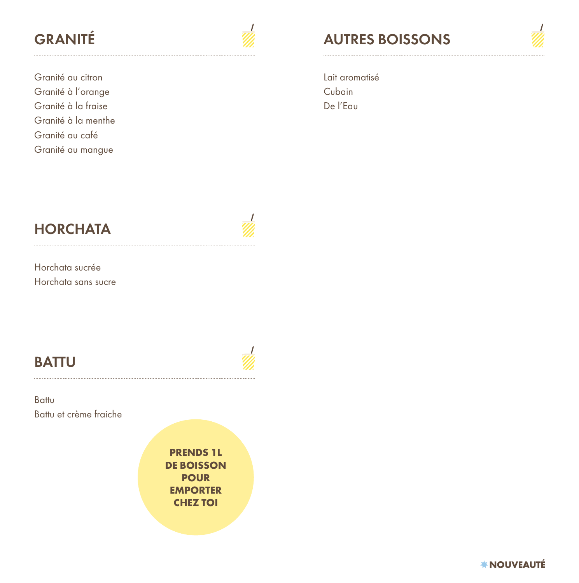Granité au citron Granité à l'orange Granité à la fraise Granité à la menthe Granité au café Granité au mangue

# **GRANITÉ AUTRES BOISSONS**

Lait aromatisé Cubain De l'Eau

Horchata sucrée Horchata sans sucre

## **BATTU**

Battu Battu et crème fraiche

> **PRENDS 1L DE BOISSON POUR EMPORTER CHEZ TOI**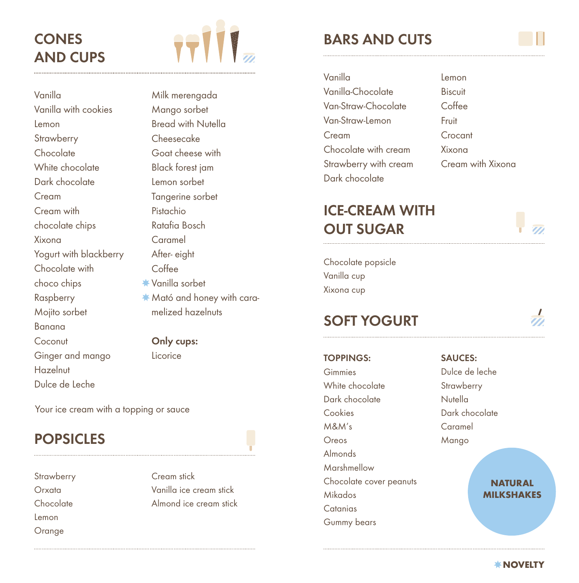# **CONES AND CUPS**



Vanilla Vanilla with cookies Lemon **Strawberry Chocolate** White chocolate Dark chocolate Cream Cream with chocolate chips Xixona Yogurt with blackberry Chocolate with choco chips Raspberry Mojito sorbet Banana **Coconut** Ginger and mango **Hazelnut** Dulce de Leche

Milk merengada Mango sorbet Bread with Nutella Cheesecake Goat cheese with Black forest jam Lemon sorbet Tangerine sorbet Pistachio Ratafia Bosch Caramel After- eight Coffee Vanilla sorbet Mató and honey with caramelized hazelnuts

#### **Only cups:**

**Licorice** 

Your ice cream with a topping or sauce

## **POPSICLES**

**Strawberry** Orxata Chocolate Lemon Orange

Cream stick Vanilla ice cream stick Almond ice cream stick

## **BARS AND CUTS**

| Vanilla               | Lemon             |
|-----------------------|-------------------|
| Vanilla-Chocolate     | Biscuit           |
| Van-Straw-Chocolate   | Coffee            |
| Van-Straw-Lemon       | Fruit             |
| Cream                 | Crocant           |
| Chocolate with cream  | Xixona            |
| Strawberry with cream | Cream with Xixona |
| Dark chocolate        |                   |

## **ICE-CREAM WITH OUT SUGAR**

Chocolate popsicle Vanilla cup Xixona cup

#### **SOFT YOGURT**

#### **TOPPINGS:**

Gimmies White chocolate Dark chocolate Cookies M&M's Oreos Almonds Marshmellow Chocolate cover peanuts Mikados **Catanias** Gummy bears

#### **SAUCES:** Dulce de leche

**Strawberry** Nutella Dark chocolate Caramel Mango

> **NATURAL MILKSHAKES**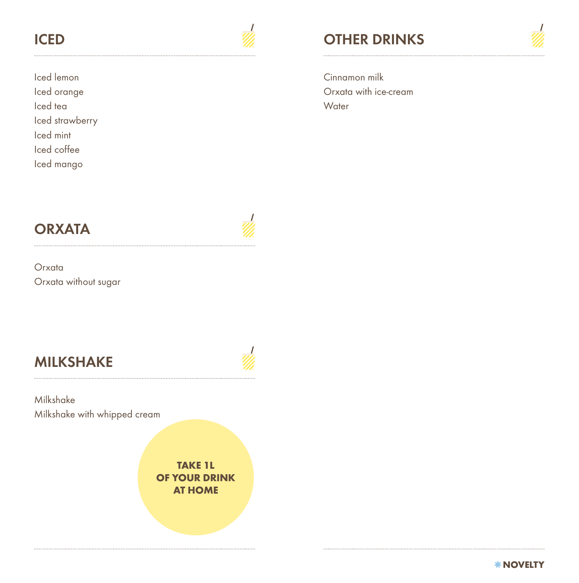

Iced lemon Iced orange Iced tea Iced strawberry Iced mint Iced coffee Iced mango

# **ICED** *CED* **OTHER DRINKS**

Cinnamon milk Orxata with ice-cream **Water** 

**Orxata** Orxata without sugar

# **MILKSHAKE**



Milkshake Milkshake with whipped cream

> **TAKE 1L OF YOUR DRINK AT HOME**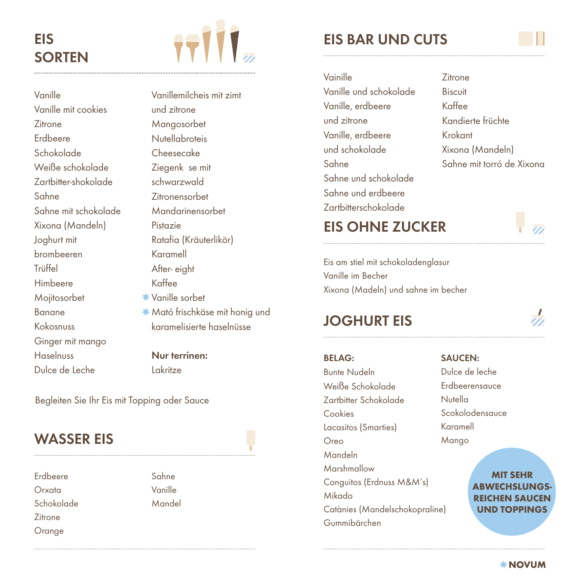# **EIS SORTEN**



Vanille Vanille mit cookies **Zitrone** Erdbeere Schokolade Weiße schokolade Zartbitter-shokolade Sahne Sahne mit schokolade Xixona (Mandeln) Joghurt mit brombeeren **Trüffel** Himbeere Mojitosorbet Banane Kokosnuss Ginger mit mango Haselnuss Dulce de Leche

Vanillemilcheis mit zimt und zitrone Mangosorbet **Nutellabroteis** Cheesecake Ziegenk se mit schwarzwald Zitronensorbet Mandarinensorbet Pistazie Ratafia (Kräuterlikör) Karamell After- eight Kaffee Vanille sorbet Mató frischkäse mit honig und karamelisierte haselnüsse

**Nur terrinen:** Lakritze

Begleiten Sie Ihr Eis mit Topping oder Sauce

#### **WASSER EIS**

Erdbeere Orxata Schokolade **Zitrone** Orange

Sahne Vanille Mandel

## **EIS BAR UND CUTS**

Vainille Vanille und schokolade Vanille, erdbeere und zitrone Vanille, erdbeere und schokolade Sahne Sahne und schokolade Sahne und erdbeere Zartbitterschokolade

**Zitrone** Biscuit Kaffee Kandierte früchte Krokant Xixona (Mandeln) Sahne mit torró de Xixona

#### **EIS OHNE ZUCKER**

Eis am stiel mit schokoladenglasur Vanille im Becher Xixona (Madeln) und sahne im becher

#### **JOGHURT EIS**

#### **BELAG:**

Bunte Nudeln Weiße Schokolade Zartbitter Schokolade Cookies Lacasitos (Smarties) Oreo Mandeln Marshmallow Conguitos (Erdnuss M&M's) Mikado Catànies (Mandelschokopraline) Gummibärchen

#### **SAUCEN:**

Dulce de leche Erdbeerensauce **Nutella** Scokolodensauce Karamell Mango

> **MIT SEHR ABWECHSLUNGS-REICHEN SAUCEN UND TOPPINGS**